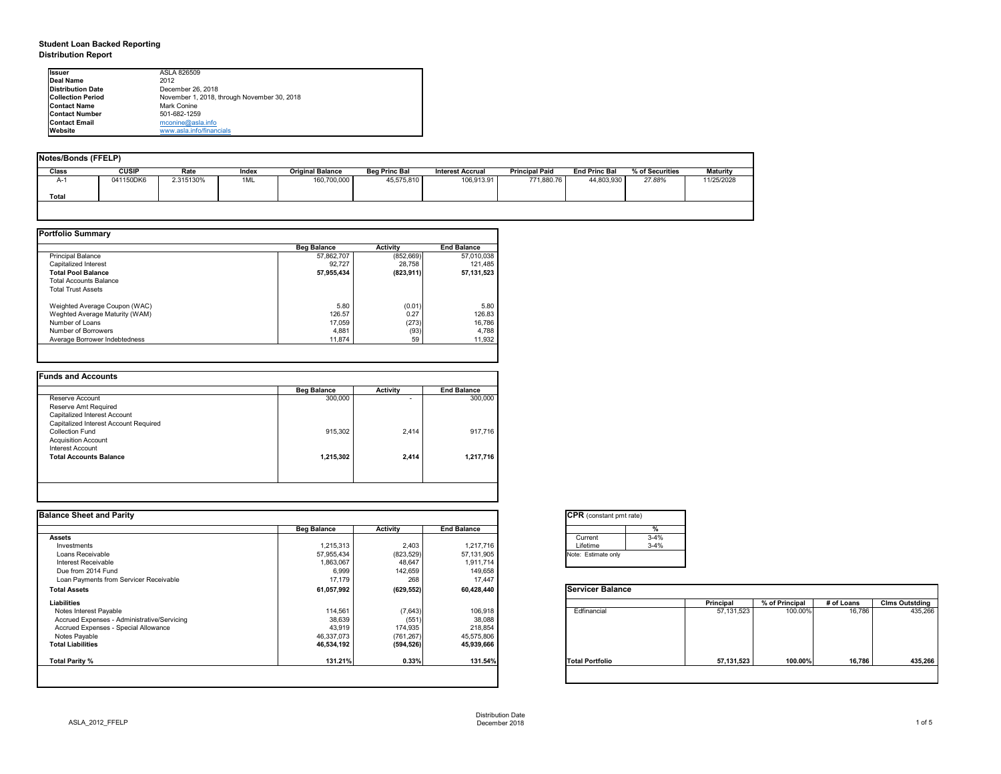# **Student Loan Backed Reporting Distribution Report**

| Notes/Bonds (FFELP) |              |           |       |                         |                      |                         |                       |                      |                 |                 |
|---------------------|--------------|-----------|-------|-------------------------|----------------------|-------------------------|-----------------------|----------------------|-----------------|-----------------|
| <b>Class</b>        | <b>CUSIP</b> | Rate      | Index | <b>Original Balance</b> | <b>Beg Princ Bal</b> | <b>Interest Accrual</b> | <b>Principal Paid</b> | <b>End Princ Bal</b> | % of Securities | <b>Maturity</b> |
| A-1                 | 041150DK6    | 2.315130% | 1ML   | 160,700,000             | 45,575,810           | 106,913.91              | 771,880.76            | 44,803,930           | 27.88%          | 11/25/2028      |
| <b>Total</b>        |              |           |       |                         |                      |                         |                       |                      |                 |                 |
|                     |              |           |       |                         |                      |                         |                       |                      |                 |                 |

|                                | <b>Beg Balance</b> | <b>Activity</b> | <b>End Balance</b> |
|--------------------------------|--------------------|-----------------|--------------------|
| <b>Principal Balance</b>       | 57,862,707         | (852, 669)      | 57,010,038         |
| Capitalized Interest           | 92,727             | 28,758          | 121,485            |
| <b>Total Pool Balance</b>      | 57,955,434         | (823, 911)      | 57, 131, 523       |
| <b>Total Accounts Balance</b>  |                    |                 |                    |
| <b>Total Trust Assets</b>      |                    |                 |                    |
| Weighted Average Coupon (WAC)  | 5.80               | (0.01)          | 5.80               |
| Weghted Average Maturity (WAM) | 126.57             | 0.27            | 126.83             |
| Number of Loans                | 17,059             | (273)           | 16,786             |
| Number of Borrowers            | 4,881              | (93)            | 4,788              |
| Average Borrower Indebtedness  | 11,874             | 59              | 11,932             |

| <b>Beg Balance</b> | <b>Activity</b> | <b>End Balance</b> |
|--------------------|-----------------|--------------------|
| 300,000            | ۰               | 300,000            |
|                    |                 |                    |
|                    |                 |                    |
|                    |                 |                    |
| 915,302            | 2,414           | 917,716            |
|                    |                 |                    |
|                    |                 |                    |
| 1,215,302          | 2,414           | 1,217,716          |
|                    |                 |                    |
|                    |                 |                    |

| tant pmt rate) |          |
|----------------|----------|
|                | $\%$     |
|                | $3 - 4%$ |
|                | $3 - 4%$ |
| te only        |          |
|                |          |

|      | <b>Principal</b> | % of Principal<br># of Loans |        |         |  |  |
|------|------------------|------------------------------|--------|---------|--|--|
| al   | 57, 131, 523     | 100.00%                      | 16,786 | 435,266 |  |  |
| oilc | 57, 131, 523     | 100.00%                      | 16,786 | 435,266 |  |  |

| <b>I</b> lssuer          | ASLA 826509                                 |
|--------------------------|---------------------------------------------|
| <b>IDeal Name</b>        | 2012                                        |
| Distribution Date        | December 26, 2018                           |
| <b>Collection Period</b> | November 1, 2018, through November 30, 2018 |
| <b>IContact Name</b>     | Mark Conine                                 |
| <b>Contact Number</b>    | 501-682-1259                                |
| <b>Contact Email</b>     | mconine@asla.info                           |
| <b>IWebsite</b>          | www.asla.info/financials                    |

|                    |                 |                    | <b>CPR</b> (constant pmt rate) |                  |                |            |                       |
|--------------------|-----------------|--------------------|--------------------------------|------------------|----------------|------------|-----------------------|
| <b>Beg Balance</b> | <b>Activity</b> | <b>End Balance</b> |                                |                  |                |            |                       |
|                    |                 |                    | $3 - 4%$<br>Current            |                  |                |            |                       |
| 1,215,313          | 2,403           | 1,217,716          | $3 - 4%$<br>Lifetime           |                  |                |            |                       |
| 57,955,434         | (823, 529)      | 57,131,905         | Note: Estimate only            |                  |                |            |                       |
| 1,863,067          | 48,647          | 1,911,714          |                                |                  |                |            |                       |
| 6,999              | 142,659         | 149,658            |                                |                  |                |            |                       |
| 17,179             | 268             | 17,447             |                                |                  |                |            |                       |
| 61,057,992         | (629, 552)      | 60,428,440         | <b>Servicer Balance</b>        |                  |                |            |                       |
|                    |                 |                    |                                | <b>Principal</b> | % of Principal | # of Loans | <b>Clms Outstding</b> |
| 114,561            | (7,643)         | 106,918            | Edfinancial                    | 57,131,523       | 100.00%        | 16,786     | 435,266               |
| 38,639             | (551)           | 38,088             |                                |                  |                |            |                       |
| 43,919             | 174,935         | 218,854            |                                |                  |                |            |                       |
| 46,337,073         | (761, 267)      | 45,575,806         |                                |                  |                |            |                       |
| 46,534,192         | (594, 526)      | 45,939,666         |                                |                  |                |            |                       |
| 131.21%            | 0.33%           | 131.54%            | <b>Total Portfolio</b>         | 57,131,523       | 100.00%        | 16,786     | 435,266               |
|                    |                 |                    |                                |                  |                |            |                       |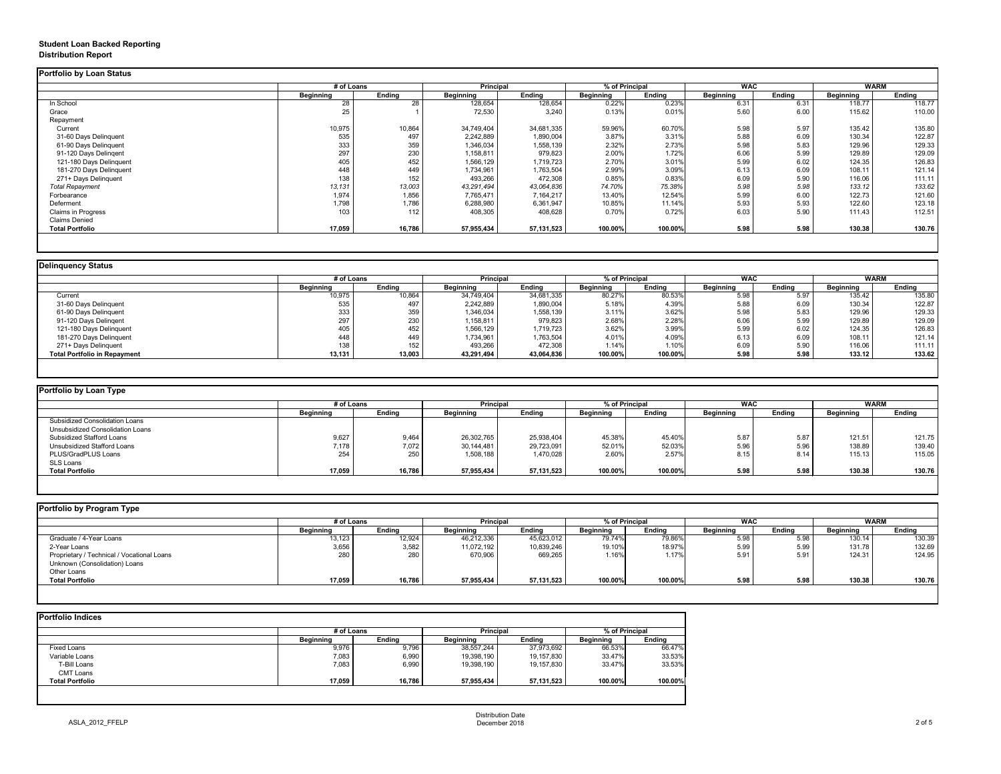# **Student Loan Backed Reporting Distribution Report**

### **Delinquency Status**

|                           | # of Loans       |               | <b>Principal</b> |               | % of Principal   |               | <b>WAC</b>       |               | <b>WARM</b>      |               |
|---------------------------|------------------|---------------|------------------|---------------|------------------|---------------|------------------|---------------|------------------|---------------|
|                           | <b>Beginning</b> | <b>Ending</b> | <b>Beginning</b> | <b>Ending</b> | <b>Beginning</b> | <b>Ending</b> | <b>Beginning</b> | <b>Ending</b> | <b>Beginning</b> | <b>Ending</b> |
| In School                 | 28               | 28            | 128,654          | 128,654       | 0.22%            | 0.23%         | 6.31             | 6.31          | 118.77           | 118.77        |
| Grace                     | 25               |               | 72,530           | 3,240         | 0.13%            | 0.01%         | 5.60             | 6.00          | 115.62           | 110.00        |
| Repayment                 |                  |               |                  |               |                  |               |                  |               |                  |               |
| Current                   | 10,975           | 10,864        | 34,749,404       | 34,681,335    | 59.96%           | 60.70%        | 5.98             | 5.97          | 135.42           | 135.80        |
| 31-60 Days Delinquent     | 535              | 497           | 2,242,889        | 1,890,004     | 3.87%            | 3.31%         | 5.88             | 6.09          | 130.34           | 122.87        |
| 61-90 Days Delinquent     | 333              | 359           | 1,346,034        | 1,558,139     | 2.32%            | 2.73%         | 5.98             | 5.83          | 129.96           | 129.33        |
| 91-120 Days Delingent     | 297              | 230           | 1,158,811        | 979,823       | 2.00%            | 1.72%         | 6.06             | 5.99          | 129.89           | 129.09        |
| 121-180 Days Delinquent   | 405              | 452           | 1,566,129        | 1,719,723     | 2.70%            | 3.01%         | 5.99             | 6.02          | 124.35           | 126.83        |
| 181-270 Days Delinquent   | 448              | 449           | 1,734,961        | 1,763,504     | 2.99%            | 3.09%         | 6.13             | 6.09          | 108.11           | 121.14        |
| 271+ Days Delinquent      | 138              | 152           | 493,266          | 472,308       | 0.85%            | 0.83%         | 6.09             | 5.90          | 116.06           | 111.11        |
| <b>Total Repayment</b>    | 13,131           | 13,003        | 43,291,494       | 43,064,836    | 74.70%           | 75.38%        | 5.98             | 5.98          | 133.12           | 133.62        |
| Forbearance               | 1,974            | 1,856         | 7,765,471        | 7,164,217     | 13.40%           | 12.54%        | 5.99             | 6.00          | 122.73           | 121.60        |
| Deferment                 | 1,798            | 1,786         | 6,288,980        | 6,361,947     | 10.85%           | 11.14%        | 5.93             | 5.93          | 122.60           | 123.18        |
| <b>Claims in Progress</b> | 103              | 112           | 408,305          | 408,628       | 0.70%            | 0.72%         | 6.03             | 5.90          | 111.43           | 112.51        |
| <b>Claims Denied</b>      |                  |               |                  |               |                  |               |                  |               |                  |               |
| <b>Total Portfolio</b>    | 17,059           | 16,786        | 57,955,434       | 57,131,523    | 100.00%          | 100.00%       | 5.98             | 5.98          | 130.38           | 130.76        |

|                                     | # of Loans       |               | <b>Principal</b> |               | % of Principal   |               | <b>WAC</b>       |               | <b>WARM</b>      |               |
|-------------------------------------|------------------|---------------|------------------|---------------|------------------|---------------|------------------|---------------|------------------|---------------|
|                                     | <b>Beginning</b> | <b>Ending</b> | <b>Beginning</b> | <b>Ending</b> | <b>Beginning</b> | <b>Ending</b> | <b>Beginning</b> | <b>Ending</b> | <b>Beginning</b> | <b>Ending</b> |
| Current                             | 10,975           | 10,864        | 34,749,404       | 34,681,335    | 80.27%           | 80.53%        | 5.98             | 5.97          | 135.42           | 135.80        |
| 31-60 Days Delinquent               | 535              | 497           | 2,242,889        | 1,890,004     | 5.18%            | 4.39%         | 5.88             | 6.09          | 130.34           | 122.87        |
| 61-90 Days Delinquent               | 333              | 359           | 1,346,034        | 1,558,139     | 3.11%            | 3.62%         | 5.98             | 5.83          | 129.96           | 129.33        |
| 91-120 Days Delinqent               | 297              | 230           | 1,158,811        | 979,823       | 2.68%            | 2.28%         | 6.06             | 5.99          | 129.89           | 129.09        |
| 121-180 Days Delinquent             | 405              | 452           | 1,566,129        | 1,719,723     | 3.62%            | 3.99%         | 5.99             | 6.02          | 124.35           | 126.83        |
| 181-270 Days Delinquent             | 448              | 449           | 1,734,961        | 1,763,504     | 4.01%            | 4.09%         | 6.13             | 6.09          | 108.11           | 121.14        |
| 271+ Days Delinquent                | 138              | 152           | 493,266          | 472,308       | 1.14%            | 1.10%         | 6.09             | 5.90          | 116.06           | 111.11        |
| <b>Total Portfolio in Repayment</b> | 13,131           | 13,003        | 43,291,494       | 43,064,836    | 100.00%          | 100.00%       | 5.98             | 5.98          | 133.12           | 133.62        |

| <b>Portfolio by Loan Type</b>           |                  |               |                  |            |                  |               |                  |        |                  |               |
|-----------------------------------------|------------------|---------------|------------------|------------|------------------|---------------|------------------|--------|------------------|---------------|
|                                         | # of Loans       |               | <b>Principal</b> |            | % of Principal   |               | <b>WAC</b>       |        | WARM             |               |
|                                         | <b>Beginning</b> | <b>Ending</b> | <b>Beginning</b> | Ending     | <b>Beginning</b> | <b>Ending</b> | <b>Beginning</b> | Ending | <b>Beginning</b> | <b>Ending</b> |
| <b>Subsidized Consolidation Loans</b>   |                  |               |                  |            |                  |               |                  |        |                  |               |
| <b>Unsubsidized Consolidation Loans</b> |                  |               |                  |            |                  |               |                  |        |                  |               |
| <b>Subsidized Stafford Loans</b>        | 9,627            | 9,464         | 26,302,765       | 25,938,404 | 45.38%           | 45.40%        | 5.87             | 5.87   | 121.51           | 121.75        |
| Unsubsidized Stafford Loans             | 7,178            | 7,072         | 30,144,481       | 29,723,091 | 52.01%           | 52.03%        | 5.96             | 5.96   | 138.89           | 139.40        |
| PLUS/GradPLUS Loans                     | 254              | 250           | 1,508,188        | 1,470,028  | 2.60%            | 2.57%         | 8.15             | 8.14   | 115.13           | 115.05        |
| SLS Loans                               |                  |               |                  |            |                  |               |                  |        |                  |               |
| <b>Total Portfolio</b>                  | 17,059           | 16,786        | 57,955,434       | 57,131,523 | 100.00%          | 100.00%       | 5.98             | 5.98   | 130.38           | 130.76        |

|                                            | # of Loans       |               | <b>Principal</b> |               | % of Principal   |               | <b>WAC</b>       |               | <b>WARM</b>      |               |
|--------------------------------------------|------------------|---------------|------------------|---------------|------------------|---------------|------------------|---------------|------------------|---------------|
|                                            | <b>Beginning</b> | <b>Ending</b> | <b>Beginning</b> | <b>Ending</b> | <b>Beginning</b> | <b>Ending</b> | <b>Beginning</b> | <b>Ending</b> | <b>Beginning</b> | <b>Ending</b> |
| Graduate / 4-Year Loans                    | 13,123           | 12,924        | 46,212,336       | 45,623,012    | 79.74%           | 79.86%        | 5.98             | 5.98          | 130.14           | 130.39        |
| 2-Year Loans                               | 3,656            | 3,582         | 11,072,192       | 10,839,246    | 19.10%           | 18.97%        | 5.99             | 5.99          | 131.78           | 132.69        |
| Proprietary / Technical / Vocational Loans | 280              | 280           | 670,906          | 669,265       | 1.16%            | 1.17%         | 5.91             | 5.91          | 124.31           | 124.95        |
| Unknown (Consolidation) Loans              |                  |               |                  |               |                  |               |                  |               |                  |               |
| Other Loans                                |                  |               |                  |               |                  |               |                  |               |                  |               |
| <b>Total Portfolio</b>                     | 17,059           | 16,786        | 57,955,434       | 57,131,523    | 100.00%          | 100.00%       | 5.98             | 5.98          | 130.38           | 130.76        |

|                        | # of Loans       |               | <b>Principal</b> |               | % of Principal   |               |
|------------------------|------------------|---------------|------------------|---------------|------------------|---------------|
|                        | <b>Beginning</b> | <b>Ending</b> | <b>Beginning</b> | <b>Ending</b> | <b>Beginning</b> | <b>Ending</b> |
| <b>Fixed Loans</b>     | 9,976            | 9,796         | 38,557,244       | 37,973,692    | 66.53%           | 66.47%        |
| Variable Loans         | 7,083            | 6,990         | 19,398,190       | 19,157,830    | 33.47%           | 33.53%        |
| T-Bill Loans           | 7,083            | 6,990         | 19,398,190       | 19,157,830    | 33.47%           | 33.53%        |
| <b>CMT Loans</b>       |                  |               |                  |               |                  |               |
| <b>Total Portfolio</b> | 17,059           | 16,786        | 57,955,434       | 57,131,523    | 100.00%          | 100.00%       |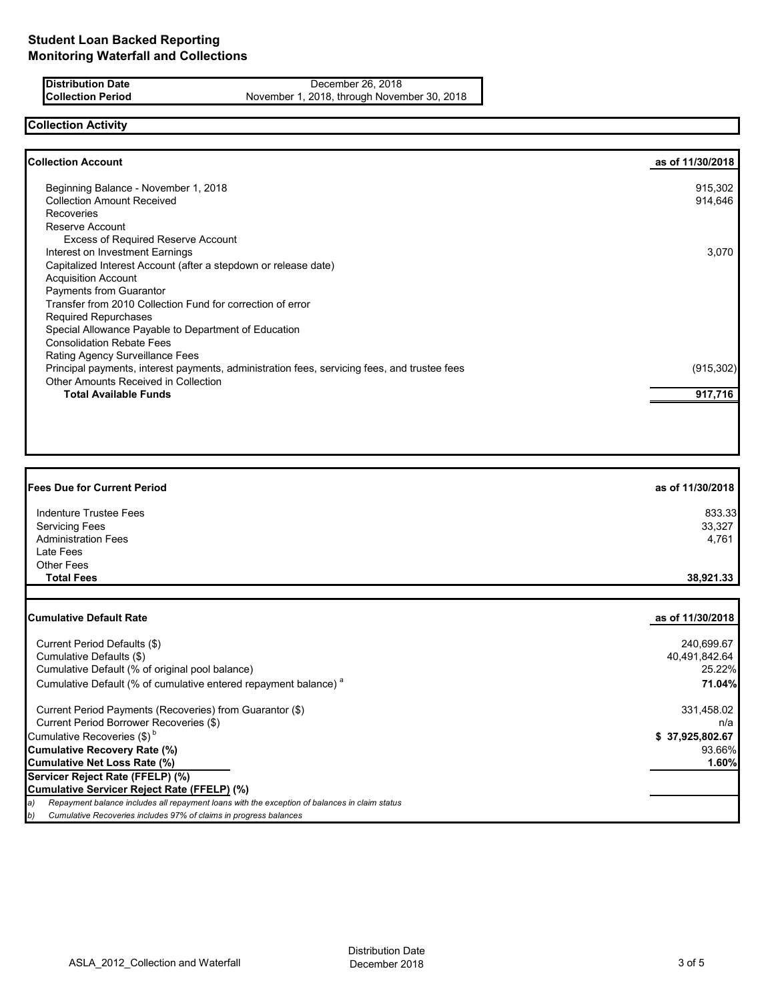**Distribution Date** December 26, 2018<br> **Collection Period** November 1, 2018, through Novem

November 1, 2018, through November 30, 2018

### **Collection Activity**

| <b>Collection Account</b>                                                                    | as of 11/30/2018 |
|----------------------------------------------------------------------------------------------|------------------|
| Beginning Balance - November 1, 2018                                                         | 915,302          |
| <b>Collection Amount Received</b>                                                            | 914,646          |
| <b>Recoveries</b>                                                                            |                  |
| Reserve Account                                                                              |                  |
| <b>Excess of Required Reserve Account</b>                                                    |                  |
| Interest on Investment Earnings                                                              | 3,070            |
| Capitalized Interest Account (after a stepdown or release date)                              |                  |
| <b>Acquisition Account</b>                                                                   |                  |
| Payments from Guarantor                                                                      |                  |
| Transfer from 2010 Collection Fund for correction of error                                   |                  |
| <b>Required Repurchases</b>                                                                  |                  |
| Special Allowance Payable to Department of Education                                         |                  |
| <b>Consolidation Rebate Fees</b>                                                             |                  |
| Rating Agency Surveillance Fees                                                              |                  |
| Principal payments, interest payments, administration fees, servicing fees, and trustee fees | (915, 302)       |
| Other Amounts Received in Collection                                                         |                  |
| <b>Total Available Funds</b>                                                                 | 917,716          |

| <b>Fees Due for Current Period</b> | as of 11/30/2018 |
|------------------------------------|------------------|
| Indenture Trustee Fees             | 833.33           |
| <b>Servicing Fees</b>              | 33,327           |
| <b>Administration Fees</b>         | 4,761            |
| Late Fees                          |                  |
| <b>Other Fees</b>                  |                  |
| <b>Total Fees</b>                  | 38,921.33        |

| <b>ICumulative Default Rate</b>                                                                     | as of 11/30/2018 |
|-----------------------------------------------------------------------------------------------------|------------------|
|                                                                                                     |                  |
| Current Period Defaults (\$)                                                                        | 240,699.67       |
| Cumulative Defaults (\$)                                                                            | 40,491,842.64    |
| Cumulative Default (% of original pool balance)                                                     | 25.22%           |
| Cumulative Default (% of cumulative entered repayment balance) <sup>a</sup>                         | 71.04%           |
| Current Period Payments (Recoveries) from Guarantor (\$)                                            | 331,458.02       |
| Current Period Borrower Recoveries (\$)                                                             | n/a              |
| Cumulative Recoveries $(\$)^b$                                                                      | \$37,925,802.67  |
| Cumulative Recovery Rate (%)                                                                        | 93.66%           |
| Cumulative Net Loss Rate (%)                                                                        | 1.60%            |
| Servicer Reject Rate (FFELP) (%)                                                                    |                  |
| Cumulative Servicer Reject Rate (FFELP) (%)                                                         |                  |
| Repayment balance includes all repayment loans with the exception of balances in claim status<br>a) |                  |
| Cumulative Recoveries includes 97% of claims in progress balances<br>b)                             |                  |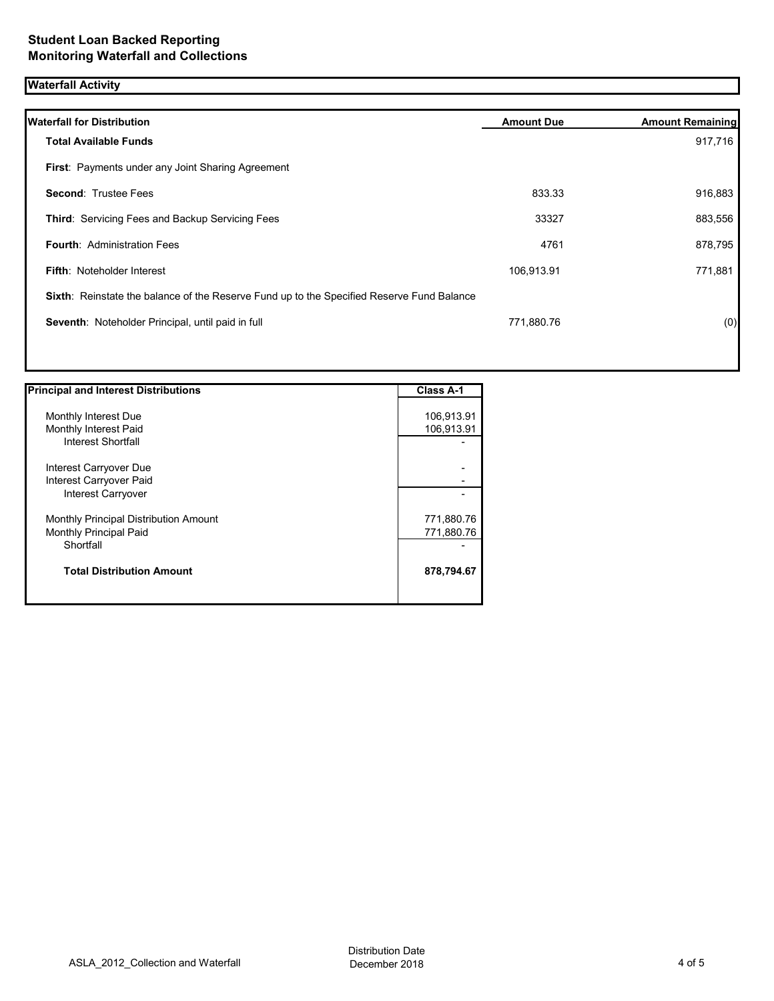# **Waterfall Activity**

| <b>Waterfall for Distribution</b>                                                         | <b>Amount Due</b> | <b>Amount Remaining</b> |
|-------------------------------------------------------------------------------------------|-------------------|-------------------------|
| <b>Total Available Funds</b>                                                              |                   | 917,716                 |
| First: Payments under any Joint Sharing Agreement                                         |                   |                         |
| <b>Second: Trustee Fees</b>                                                               | 833.33            | 916,883                 |
| Third: Servicing Fees and Backup Servicing Fees                                           | 33327             | 883,556                 |
| <b>Fourth: Administration Fees</b>                                                        | 4761              | 878,795                 |
| <b>Fifth: Noteholder Interest</b>                                                         | 106,913.91        | 771,881                 |
| Sixth: Reinstate the balance of the Reserve Fund up to the Specified Reserve Fund Balance |                   |                         |
| Seventh: Noteholder Principal, until paid in full                                         | 771,880.76        | (0)                     |
|                                                                                           |                   |                         |
|                                                                                           |                   |                         |

| <b>Principal and Interest Distributions</b> | <b>Class A-1</b> |
|---------------------------------------------|------------------|
|                                             |                  |
| Monthly Interest Due                        | 106,913.91       |
| Monthly Interest Paid                       | 106,913.91       |
| <b>Interest Shortfall</b>                   |                  |
| Interest Carryover Due                      |                  |
| Interest Carryover Paid                     |                  |
| Interest Carryover                          |                  |
| Monthly Principal Distribution Amount       | 771,880.76       |
| Monthly Principal Paid                      | 771,880.76       |
| Shortfall                                   |                  |
| <b>Total Distribution Amount</b>            | 878,794.67       |
|                                             |                  |